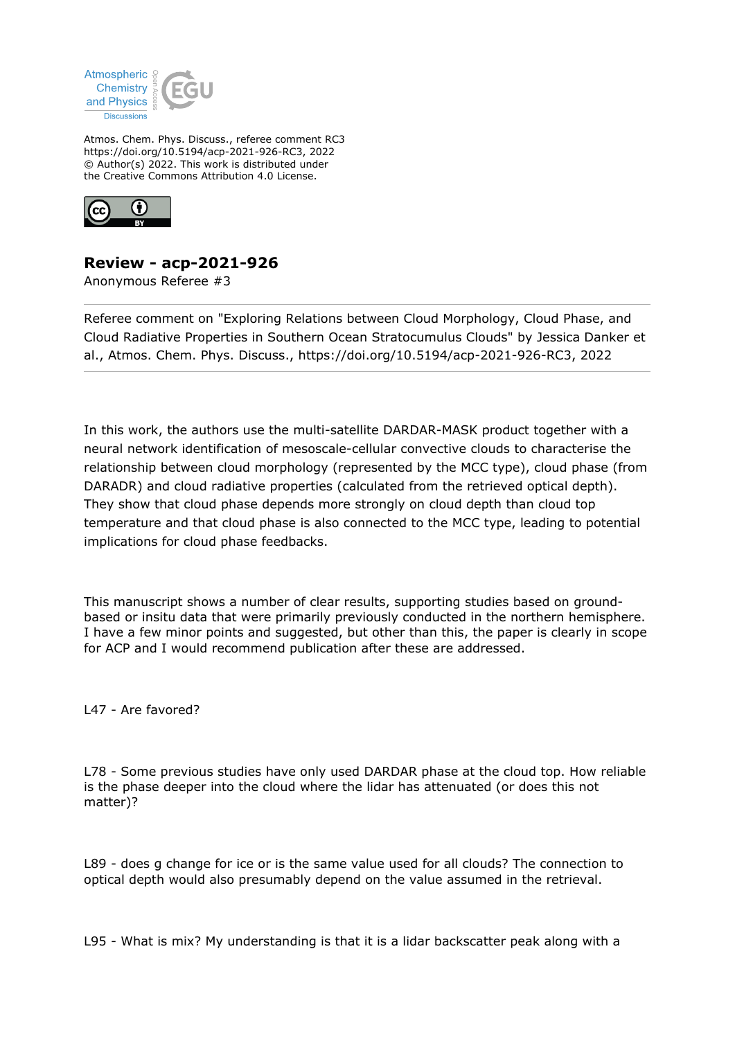

Atmos. Chem. Phys. Discuss., referee comment RC3 https://doi.org/10.5194/acp-2021-926-RC3, 2022 © Author(s) 2022. This work is distributed under the Creative Commons Attribution 4.0 License.



## **Review - acp-2021-926**

Anonymous Referee #3

Referee comment on "Exploring Relations between Cloud Morphology, Cloud Phase, and Cloud Radiative Properties in Southern Ocean Stratocumulus Clouds" by Jessica Danker et al., Atmos. Chem. Phys. Discuss., https://doi.org/10.5194/acp-2021-926-RC3, 2022

In this work, the authors use the multi-satellite DARDAR-MASK product together with a neural network identification of mesoscale-cellular convective clouds to characterise the relationship between cloud morphology (represented by the MCC type), cloud phase (from DARADR) and cloud radiative properties (calculated from the retrieved optical depth). They show that cloud phase depends more strongly on cloud depth than cloud top temperature and that cloud phase is also connected to the MCC type, leading to potential implications for cloud phase feedbacks.

This manuscript shows a number of clear results, supporting studies based on groundbased or insitu data that were primarily previously conducted in the northern hemisphere. I have a few minor points and suggested, but other than this, the paper is clearly in scope for ACP and I would recommend publication after these are addressed.

L47 - Are favored?

L78 - Some previous studies have only used DARDAR phase at the cloud top. How reliable is the phase deeper into the cloud where the lidar has attenuated (or does this not matter)?

L89 - does g change for ice or is the same value used for all clouds? The connection to optical depth would also presumably depend on the value assumed in the retrieval.

L95 - What is mix? My understanding is that it is a lidar backscatter peak along with a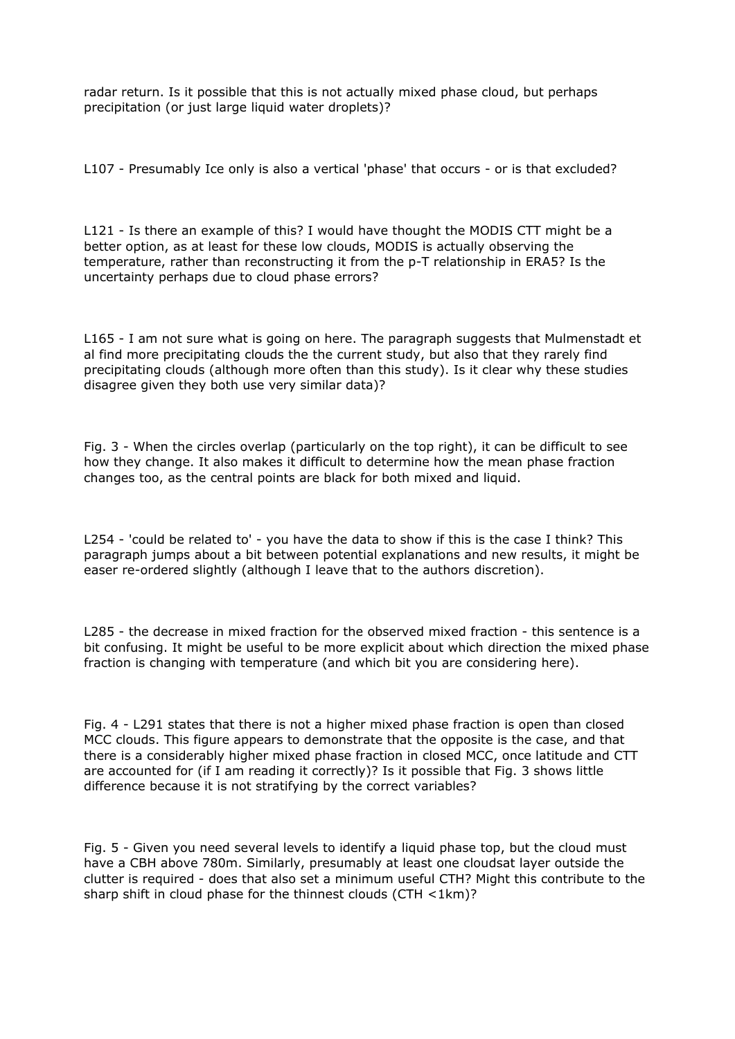radar return. Is it possible that this is not actually mixed phase cloud, but perhaps precipitation (or just large liquid water droplets)?

L107 - Presumably Ice only is also a vertical 'phase' that occurs - or is that excluded?

L121 - Is there an example of this? I would have thought the MODIS CTT might be a better option, as at least for these low clouds, MODIS is actually observing the temperature, rather than reconstructing it from the p-T relationship in ERA5? Is the uncertainty perhaps due to cloud phase errors?

L165 - I am not sure what is going on here. The paragraph suggests that Mulmenstadt et al find more precipitating clouds the the current study, but also that they rarely find precipitating clouds (although more often than this study). Is it clear why these studies disagree given they both use very similar data)?

Fig. 3 - When the circles overlap (particularly on the top right), it can be difficult to see how they change. It also makes it difficult to determine how the mean phase fraction changes too, as the central points are black for both mixed and liquid.

L254 - 'could be related to' - you have the data to show if this is the case I think? This paragraph jumps about a bit between potential explanations and new results, it might be easer re-ordered slightly (although I leave that to the authors discretion).

L285 - the decrease in mixed fraction for the observed mixed fraction - this sentence is a bit confusing. It might be useful to be more explicit about which direction the mixed phase fraction is changing with temperature (and which bit you are considering here).

Fig. 4 - L291 states that there is not a higher mixed phase fraction is open than closed MCC clouds. This figure appears to demonstrate that the opposite is the case, and that there is a considerably higher mixed phase fraction in closed MCC, once latitude and CTT are accounted for (if I am reading it correctly)? Is it possible that Fig. 3 shows little difference because it is not stratifying by the correct variables?

Fig. 5 - Given you need several levels to identify a liquid phase top, but the cloud must have a CBH above 780m. Similarly, presumably at least one cloudsat layer outside the clutter is required - does that also set a minimum useful CTH? Might this contribute to the sharp shift in cloud phase for the thinnest clouds (CTH <1km)?